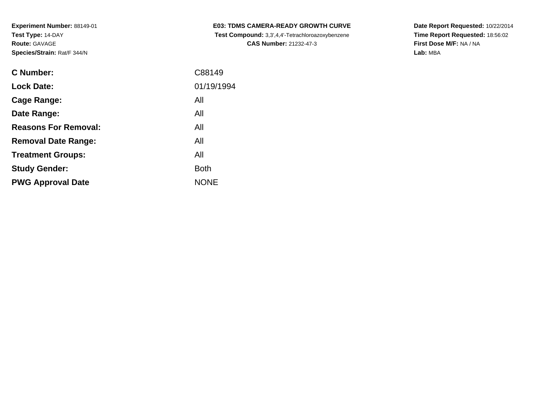| <b>C Number:</b>            | C88149      |
|-----------------------------|-------------|
| <b>Lock Date:</b>           | 01/19/1994  |
| Cage Range:                 | All         |
| Date Range:                 | All         |
| <b>Reasons For Removal:</b> | All         |
| <b>Removal Date Range:</b>  | All         |
| <b>Treatment Groups:</b>    | All         |
| <b>Study Gender:</b>        | <b>Both</b> |
| <b>PWG Approval Date</b>    | <b>NONE</b> |
|                             |             |

**E03: TDMS CAMERA-READY GROWTH CURVE Test Compound:** 3,3',4,4'-Tetrachloroazoxybenzene**CAS Number:** 21232-47-3

**Date Report Requested:** 10/22/2014 **Time Report Requested:** 18:56:02**First Dose M/F:** NA / NA**Lab:** MBA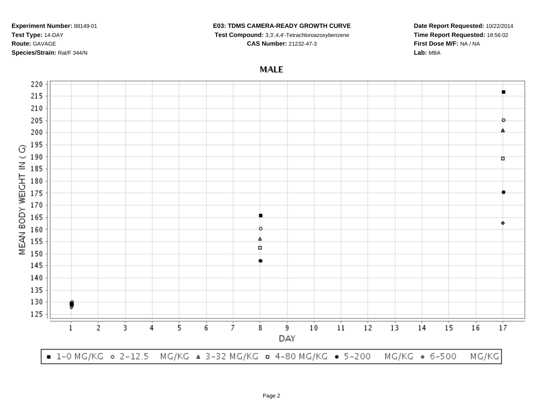## **E03: TDMS CAMERA-READY GROWTH CURVE**

**Test Compound:** 3,3',4,4'-Tetrachloroazoxybenzene

**CAS Number:** 21232-47-3

**Date Report Requested:** 10/22/2014**Time Report Requested:** 18:56:02**First Dose M/F:** NA / NA**Lab:** MBA

## **MALE**

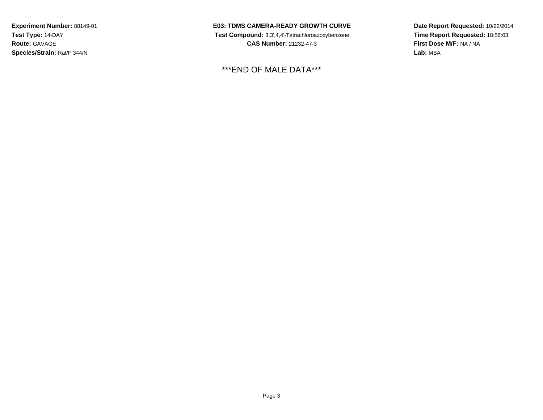**E03: TDMS CAMERA-READY GROWTH CURVE Test Compound:** 3,3',4,4'-Tetrachloroazoxybenzene**CAS Number:** 21232-47-3

\*\*\*END OF MALE DATA\*\*\*

**Date Report Requested:** 10/22/2014**Time Report Requested:** 18:56:03**First Dose M/F:** NA / NA**Lab:** MBA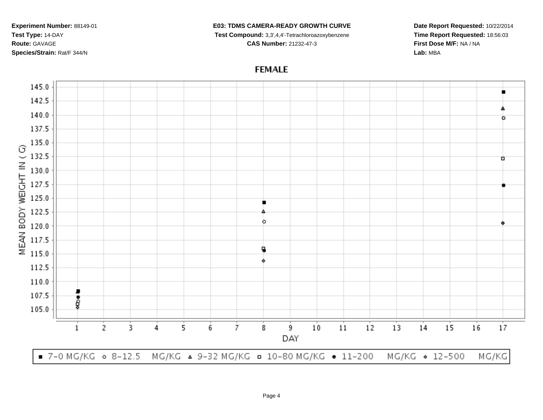## **E03: TDMS CAMERA-READY GROWTH CURVE**

**Test Compound:** 3,3',4,4'-Tetrachloroazoxybenzene

**CAS Number:** 21232-47-3

**Date Report Requested:** 10/22/2014**Time Report Requested:** 18:56:03**First Dose M/F:** NA / NA**Lab:** MBA

## **FEMALE**